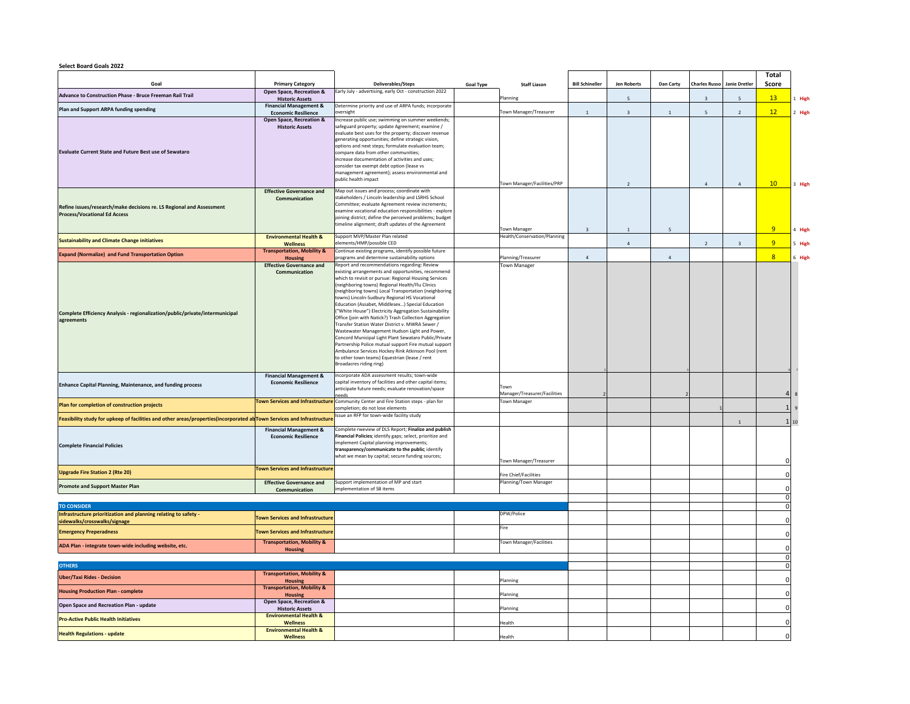## **Select Board Goals 2022**

|                                                                                                                                                                                                                                                                                                                                                                                                |                                                                                                                                                                                  |                                                                                                                                                                                                                                                                                                                                                                                                                                                                                                                                                                                                                                                                                                                                                                                                                                                                                                                                                                                                                                                                                                                                                                                                                           |                  |                                                                                                          |                        |                         |                |                                    |                         | Total                          |              |
|------------------------------------------------------------------------------------------------------------------------------------------------------------------------------------------------------------------------------------------------------------------------------------------------------------------------------------------------------------------------------------------------|----------------------------------------------------------------------------------------------------------------------------------------------------------------------------------|---------------------------------------------------------------------------------------------------------------------------------------------------------------------------------------------------------------------------------------------------------------------------------------------------------------------------------------------------------------------------------------------------------------------------------------------------------------------------------------------------------------------------------------------------------------------------------------------------------------------------------------------------------------------------------------------------------------------------------------------------------------------------------------------------------------------------------------------------------------------------------------------------------------------------------------------------------------------------------------------------------------------------------------------------------------------------------------------------------------------------------------------------------------------------------------------------------------------------|------------------|----------------------------------------------------------------------------------------------------------|------------------------|-------------------------|----------------|------------------------------------|-------------------------|--------------------------------|--------------|
| Goal                                                                                                                                                                                                                                                                                                                                                                                           | <b>Primary Category</b>                                                                                                                                                          | Deliverables/Steps                                                                                                                                                                                                                                                                                                                                                                                                                                                                                                                                                                                                                                                                                                                                                                                                                                                                                                                                                                                                                                                                                                                                                                                                        | <b>Goal Type</b> | <b>Staff Liason</b>                                                                                      | <b>Bill Schineller</b> | <b>Jen Roberts</b>      | Dan Carty      | <b>Charles Russo</b> Janie Dretler |                         | Score                          |              |
| Advance to Construction Phase - Bruce Freeman Rail Trail                                                                                                                                                                                                                                                                                                                                       | Open Space, Recreation &<br><b>Historic Assets</b>                                                                                                                               | Early July - advertising, early Oct - construction 2022                                                                                                                                                                                                                                                                                                                                                                                                                                                                                                                                                                                                                                                                                                                                                                                                                                                                                                                                                                                                                                                                                                                                                                   |                  | Planning                                                                                                 |                        | 5                       |                | $\overline{3}$                     | $\overline{5}$          | 13 <sup>°</sup>                | 1 High       |
| Plan and Support ARPA funding spending                                                                                                                                                                                                                                                                                                                                                         | <b>Financial Management &amp;</b>                                                                                                                                                | Determine priority and use of ARPA funds; incorporate<br>oversight                                                                                                                                                                                                                                                                                                                                                                                                                                                                                                                                                                                                                                                                                                                                                                                                                                                                                                                                                                                                                                                                                                                                                        |                  | Town Manager/Treasurer                                                                                   | $\mathbf{1}$           | $\overline{\mathbf{3}}$ | $\mathbf{1}$   | 5                                  | $\overline{2}$          | 12                             | 2 High       |
| Evaluate Current State and Future Best use of Sewataro                                                                                                                                                                                                                                                                                                                                         | <b>Economic Resilience</b><br>Open Space, Recreation &<br><b>Historic Assets</b>                                                                                                 | Increase public use; swimming on summer weekends;<br>safeguard property; update Agreement; examine /<br>evaluate best uses for the property; discover revenue<br>generating opportunities; define strategic vision,<br>options and next steps; formulate evaluation team;<br>compare data from other communities;<br>increase documentation of activities and uses;<br>consider tax exempt debt option (lease vs.<br>nanagement agreement); assess environmental and                                                                                                                                                                                                                                                                                                                                                                                                                                                                                                                                                                                                                                                                                                                                                      |                  |                                                                                                          |                        |                         |                |                                    |                         |                                |              |
|                                                                                                                                                                                                                                                                                                                                                                                                |                                                                                                                                                                                  | public health impact                                                                                                                                                                                                                                                                                                                                                                                                                                                                                                                                                                                                                                                                                                                                                                                                                                                                                                                                                                                                                                                                                                                                                                                                      |                  | Town Manager/Facilities/PRP                                                                              |                        | $\overline{2}$          |                | $\overline{4}$                     | $\overline{4}$          | 10                             | 3 High       |
| Refine issues/research/make decisions re. LS Regional and Assessment<br><b>Process/Vocational Ed Access</b>                                                                                                                                                                                                                                                                                    | <b>Effective Governance and</b><br>Communication                                                                                                                                 | Map out issues and process; coordinate with<br>stakeholders / Lincoln leadership and LSRHS School<br>Committee; evaluate Agreement review increments;<br>examine vocational education responsibilities - explore<br>joining district; define the perceived problems; budget<br>timeline alignment; draft updates of the Agreement                                                                                                                                                                                                                                                                                                                                                                                                                                                                                                                                                                                                                                                                                                                                                                                                                                                                                         |                  | <b>Town Manager</b>                                                                                      | $\overline{3}$         | $\overline{1}$          | 5              |                                    |                         | 9                              | 4 High       |
| <b>Sustainability and Climate Change initiatives</b>                                                                                                                                                                                                                                                                                                                                           | <b>Environmental Health &amp;</b>                                                                                                                                                | Support MVP/Master Plan related<br>elements/HMP/possible CED                                                                                                                                                                                                                                                                                                                                                                                                                                                                                                                                                                                                                                                                                                                                                                                                                                                                                                                                                                                                                                                                                                                                                              |                  | Health/Conservation/Planning                                                                             |                        |                         |                |                                    |                         | 9                              |              |
|                                                                                                                                                                                                                                                                                                                                                                                                | Wellness<br><b>Transportation, Mobility &amp;</b>                                                                                                                                | Continue existing programs, identify possible future                                                                                                                                                                                                                                                                                                                                                                                                                                                                                                                                                                                                                                                                                                                                                                                                                                                                                                                                                                                                                                                                                                                                                                      |                  |                                                                                                          |                        | $\overline{4}$          |                | $\overline{2}$                     | $\overline{\mathbf{3}}$ |                                | 5 High       |
| <b>Expand (Normalize) and Fund Transportation Option</b><br>Complete Efficiency Analysis - regionalization/public/private/intermunicipal<br>agreements<br>Enhance Capital Planning, Maintenance, and funding process<br>Plan for completion of construction projects<br>Feasibility study for upkeep of facilities and other areas/properties(incorporated ab Town Services and Infrastructure | <b>Housing</b><br><b>Effective Governance and</b><br>Communication<br><b>Financial Management &amp;</b><br><b>Economic Resilience</b><br><b>Town Services and Infrastructure</b> | programs and determine sustainability options<br>Report and recommendations regarding: Review<br>existing arrangements and opportunities, recommend<br>which to revisit or pursue: Regional Housing Services<br>(neighboring towns) Regional Health/Flu Clinics<br>(neighboring towns) Local Transportation (neighboring<br>owns) Lincoln-Sudbury Regional HS Vocational<br>Education (Assabet, Middlesex) Special Education<br>"White House") Electricity Aggregation Sustainability<br>Office (join with Natick?) Trash Collection Aggregation<br>Transfer Station Water District v. MWRA Sewer /<br>Wastewater Management Hudson Light and Power,<br>Concord Municipal Light Plant Sewataro Public/Private<br>Partnership Police mutual support Fire mutual support<br>Ambulance Services Hockey Rink Atkinson Pool (rent<br>to other town teams) Equestrian (lease / rent<br>Broadacres riding ring)<br>incorporate ADA assessment results; town-wide<br>apital inventory of facilities and other capital items;<br>anticipate future needs; evaluate renovation/space<br>eeds<br>Community Center and Fire Station steps - plan for<br>completion; do not lose elements<br>Issue an RFP for town-wide facility study |                  | Planning/Treasurer<br><b>Town Manager</b><br>Town<br>Manager/Treasurer/Facilities<br><b>Town Manager</b> | $\overline{a}$         |                         | $\overline{a}$ |                                    |                         | 8 <sup>1</sup><br>$\mathbf{1}$ | 6 High<br>10 |
| <b>Complete Financial Policies</b>                                                                                                                                                                                                                                                                                                                                                             | <b>Financial Management &amp;</b><br><b>Economic Resilience</b>                                                                                                                  | Complete rweview of DLS Report; Finalize and publish<br>inancial Policies; identify gaps; select, prioritize and<br>mplement Capital planning improvements;<br>transparency/communicate to the public; identify<br>what we mean by capital; secure funding sources;                                                                                                                                                                                                                                                                                                                                                                                                                                                                                                                                                                                                                                                                                                                                                                                                                                                                                                                                                       |                  | Town Manager/Treasurer                                                                                   |                        |                         |                |                                    |                         |                                |              |
| <b>Upgrade Fire Station 2 (Rte 20)</b>                                                                                                                                                                                                                                                                                                                                                         | <b>Town Services and Infrastructure</b>                                                                                                                                          |                                                                                                                                                                                                                                                                                                                                                                                                                                                                                                                                                                                                                                                                                                                                                                                                                                                                                                                                                                                                                                                                                                                                                                                                                           |                  | Fire Chief/Facilities                                                                                    |                        |                         |                |                                    |                         | $\Omega$                       |              |
| <b>Promote and Support Master Plan</b>                                                                                                                                                                                                                                                                                                                                                         | <b>Effective Governance and</b><br>Communication                                                                                                                                 | Support implementation of MP and start<br>mplementation of SB items                                                                                                                                                                                                                                                                                                                                                                                                                                                                                                                                                                                                                                                                                                                                                                                                                                                                                                                                                                                                                                                                                                                                                       |                  | Planning/Town Manager                                                                                    |                        |                         |                |                                    |                         | C                              |              |
|                                                                                                                                                                                                                                                                                                                                                                                                |                                                                                                                                                                                  |                                                                                                                                                                                                                                                                                                                                                                                                                                                                                                                                                                                                                                                                                                                                                                                                                                                                                                                                                                                                                                                                                                                                                                                                                           |                  |                                                                                                          |                        |                         |                |                                    |                         | $\Omega$                       |              |
| <b>TO CONSIDER</b><br>Infrastructure prioritization and planning relating to safety -<br>sidewalks/crosswalks/signage                                                                                                                                                                                                                                                                          | <b>Town Services and Infrastructure</b>                                                                                                                                          |                                                                                                                                                                                                                                                                                                                                                                                                                                                                                                                                                                                                                                                                                                                                                                                                                                                                                                                                                                                                                                                                                                                                                                                                                           |                  | DPW/Police                                                                                               |                        |                         |                |                                    |                         |                                |              |
| <b>Emergency Preperadness</b>                                                                                                                                                                                                                                                                                                                                                                  | <b>Town Services and Infrastructure</b>                                                                                                                                          |                                                                                                                                                                                                                                                                                                                                                                                                                                                                                                                                                                                                                                                                                                                                                                                                                                                                                                                                                                                                                                                                                                                                                                                                                           |                  | Fire                                                                                                     |                        |                         |                |                                    |                         |                                |              |
| ADA Plan - integrate town-wide including website, etc.                                                                                                                                                                                                                                                                                                                                         | <b>Transportation, Mobility &amp;</b><br><b>Housing</b>                                                                                                                          |                                                                                                                                                                                                                                                                                                                                                                                                                                                                                                                                                                                                                                                                                                                                                                                                                                                                                                                                                                                                                                                                                                                                                                                                                           |                  | Town Manager/Facilities                                                                                  |                        |                         |                |                                    |                         |                                |              |
|                                                                                                                                                                                                                                                                                                                                                                                                |                                                                                                                                                                                  |                                                                                                                                                                                                                                                                                                                                                                                                                                                                                                                                                                                                                                                                                                                                                                                                                                                                                                                                                                                                                                                                                                                                                                                                                           |                  |                                                                                                          |                        |                         |                |                                    |                         |                                |              |
| <b>OTHERS</b>                                                                                                                                                                                                                                                                                                                                                                                  | <b>Transportation, Mobility &amp;</b>                                                                                                                                            |                                                                                                                                                                                                                                                                                                                                                                                                                                                                                                                                                                                                                                                                                                                                                                                                                                                                                                                                                                                                                                                                                                                                                                                                                           |                  |                                                                                                          |                        |                         |                |                                    |                         |                                |              |
| <b>Uber/Taxi Rides - Decision</b>                                                                                                                                                                                                                                                                                                                                                              | <b>Housing</b>                                                                                                                                                                   |                                                                                                                                                                                                                                                                                                                                                                                                                                                                                                                                                                                                                                                                                                                                                                                                                                                                                                                                                                                                                                                                                                                                                                                                                           |                  | Planning                                                                                                 |                        |                         |                |                                    |                         |                                |              |
| <b>Housing Production Plan - complete</b>                                                                                                                                                                                                                                                                                                                                                      | <b>Transportation, Mobility &amp;</b><br><b>Housing</b>                                                                                                                          |                                                                                                                                                                                                                                                                                                                                                                                                                                                                                                                                                                                                                                                                                                                                                                                                                                                                                                                                                                                                                                                                                                                                                                                                                           |                  | Planning                                                                                                 |                        |                         |                |                                    |                         |                                |              |
| Open Space and Recreation Plan - update                                                                                                                                                                                                                                                                                                                                                        | Open Space, Recreation &<br><b>Historic Assets</b>                                                                                                                               |                                                                                                                                                                                                                                                                                                                                                                                                                                                                                                                                                                                                                                                                                                                                                                                                                                                                                                                                                                                                                                                                                                                                                                                                                           |                  | Planning                                                                                                 |                        |                         |                |                                    |                         |                                |              |
| <b>Pro-Active Public Health Initiatives</b>                                                                                                                                                                                                                                                                                                                                                    | <b>Environmental Health &amp;</b><br>Wellness                                                                                                                                    |                                                                                                                                                                                                                                                                                                                                                                                                                                                                                                                                                                                                                                                                                                                                                                                                                                                                                                                                                                                                                                                                                                                                                                                                                           |                  | Health                                                                                                   |                        |                         |                |                                    |                         |                                |              |
| <b>Health Regulations - update</b>                                                                                                                                                                                                                                                                                                                                                             | <b>Environmental Health &amp;</b>                                                                                                                                                |                                                                                                                                                                                                                                                                                                                                                                                                                                                                                                                                                                                                                                                                                                                                                                                                                                                                                                                                                                                                                                                                                                                                                                                                                           |                  | Health                                                                                                   |                        |                         |                |                                    |                         | $\Omega$                       |              |
|                                                                                                                                                                                                                                                                                                                                                                                                | Wellness                                                                                                                                                                         |                                                                                                                                                                                                                                                                                                                                                                                                                                                                                                                                                                                                                                                                                                                                                                                                                                                                                                                                                                                                                                                                                                                                                                                                                           |                  |                                                                                                          |                        |                         |                |                                    |                         |                                |              |